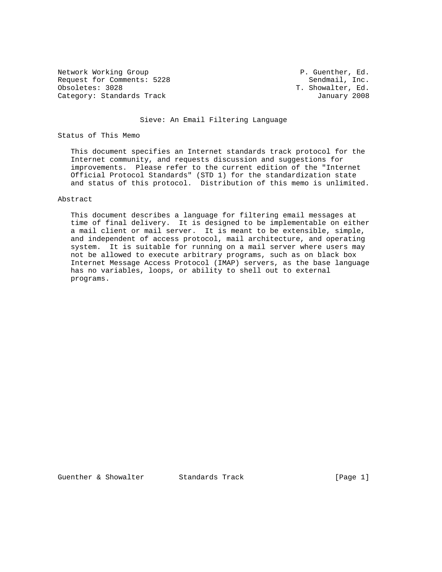Network Working Group **P. Guenther, Ed.** P. Guenther, Ed. Request for Comments: 5228 Sendmail, Inc.<br>
0bsoletes: 3028 T. Showalter, Ed. Category: Standards Track January 2008

T. Showalter, Ed.

## Sieve: An Email Filtering Language

Status of This Memo

 This document specifies an Internet standards track protocol for the Internet community, and requests discussion and suggestions for improvements. Please refer to the current edition of the "Internet Official Protocol Standards" (STD 1) for the standardization state and status of this protocol. Distribution of this memo is unlimited.

# Abstract

 This document describes a language for filtering email messages at time of final delivery. It is designed to be implementable on either a mail client or mail server. It is meant to be extensible, simple, and independent of access protocol, mail architecture, and operating system. It is suitable for running on a mail server where users may not be allowed to execute arbitrary programs, such as on black box Internet Message Access Protocol (IMAP) servers, as the base language has no variables, loops, or ability to shell out to external programs.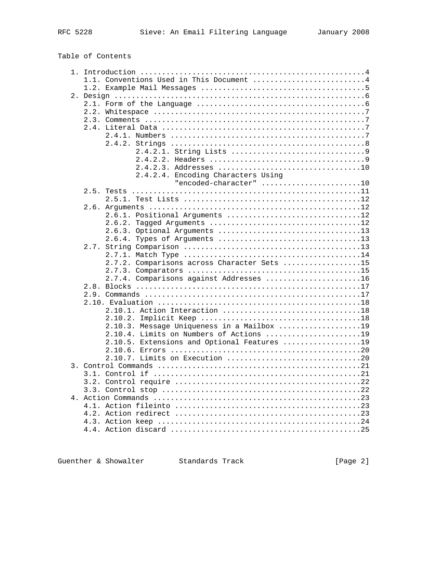# Table of Contents

|  | 1.1. Conventions Used in This Document 4    |
|--|---------------------------------------------|
|  |                                             |
|  |                                             |
|  |                                             |
|  |                                             |
|  |                                             |
|  |                                             |
|  |                                             |
|  |                                             |
|  |                                             |
|  |                                             |
|  |                                             |
|  | 2.4.2.4. Encoding Characters Using          |
|  | "encoded-character" 10                      |
|  |                                             |
|  |                                             |
|  |                                             |
|  | 2.6.1. Positional Arguments 12              |
|  |                                             |
|  |                                             |
|  | 2.6.4. Types of Arguments 13                |
|  |                                             |
|  |                                             |
|  | 2.7.2. Comparisons across Character Sets 15 |
|  |                                             |
|  | 2.7.4. Comparisons against Addresses 16     |
|  |                                             |
|  |                                             |
|  |                                             |
|  | 2.10.1. Action Interaction 18               |
|  | 2.10.2.                                     |
|  | 2.10.3. Message Uniqueness in a Mailbox 19  |
|  | 2.10.4. Limits on Numbers of Actions 19     |
|  | 2.10.5. Extensions and Optional Features 19 |
|  |                                             |
|  |                                             |
|  |                                             |
|  |                                             |
|  |                                             |
|  |                                             |
|  |                                             |
|  |                                             |
|  |                                             |
|  |                                             |
|  |                                             |
|  |                                             |
|  |                                             |

Guenther & Showalter Standards Track (Page 2)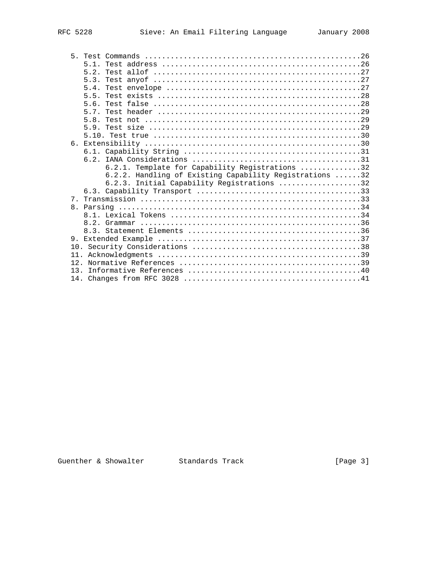|     | 5.1.                                                    |
|-----|---------------------------------------------------------|
|     | 5.2.                                                    |
|     | 5.3.                                                    |
|     | 5.4.                                                    |
|     | 55                                                      |
|     | 5.6.                                                    |
|     | 57                                                      |
|     | 5.8.                                                    |
|     | 59                                                      |
|     |                                                         |
|     |                                                         |
|     |                                                         |
|     |                                                         |
|     | 6.2.1. Template for Capability Registrations 32         |
|     | 6.2.2. Handling of Existing Capability Registrations 32 |
|     | 6.2.3. Initial Capability Registrations 32              |
|     |                                                         |
|     |                                                         |
|     |                                                         |
|     |                                                         |
|     |                                                         |
|     |                                                         |
| 9.  |                                                         |
|     |                                                         |
| 11. |                                                         |
| 12. |                                                         |
| 13  |                                                         |
|     |                                                         |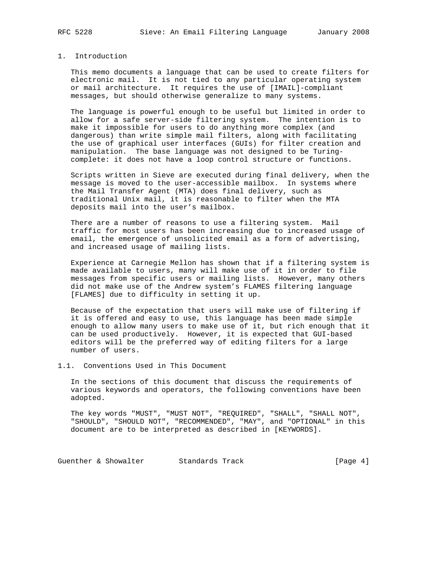# 1. Introduction

 This memo documents a language that can be used to create filters for electronic mail. It is not tied to any particular operating system or mail architecture. It requires the use of [IMAIL]-compliant messages, but should otherwise generalize to many systems.

 The language is powerful enough to be useful but limited in order to allow for a safe server-side filtering system. The intention is to make it impossible for users to do anything more complex (and dangerous) than write simple mail filters, along with facilitating the use of graphical user interfaces (GUIs) for filter creation and manipulation. The base language was not designed to be Turing complete: it does not have a loop control structure or functions.

 Scripts written in Sieve are executed during final delivery, when the message is moved to the user-accessible mailbox. In systems where the Mail Transfer Agent (MTA) does final delivery, such as traditional Unix mail, it is reasonable to filter when the MTA deposits mail into the user's mailbox.

There are a number of reasons to use a filtering system. Mail traffic for most users has been increasing due to increased usage of email, the emergence of unsolicited email as a form of advertising, and increased usage of mailing lists.

 Experience at Carnegie Mellon has shown that if a filtering system is made available to users, many will make use of it in order to file messages from specific users or mailing lists. However, many others did not make use of the Andrew system's FLAMES filtering language [FLAMES] due to difficulty in setting it up.

 Because of the expectation that users will make use of filtering if it is offered and easy to use, this language has been made simple enough to allow many users to make use of it, but rich enough that it can be used productively. However, it is expected that GUI-based editors will be the preferred way of editing filters for a large number of users.

1.1. Conventions Used in This Document

 In the sections of this document that discuss the requirements of various keywords and operators, the following conventions have been adopted.

 The key words "MUST", "MUST NOT", "REQUIRED", "SHALL", "SHALL NOT", "SHOULD", "SHOULD NOT", "RECOMMENDED", "MAY", and "OPTIONAL" in this document are to be interpreted as described in [KEYWORDS].

Guenther & Showalter Standards Track (Page 4)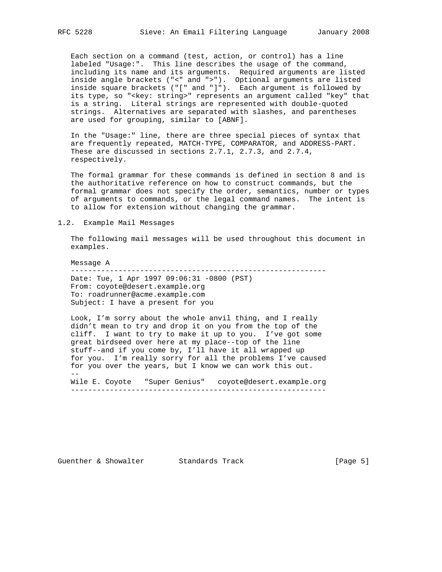Each section on a command (test, action, or control) has a line labeled "Usage:". This line describes the usage of the command, including its name and its arguments. Required arguments are listed inside angle brackets ("<" and ">"). Optional arguments are listed inside square brackets ("[" and "]"). Each argument is followed by its type, so "<key: string>" represents an argument called "key" that is a string. Literal strings are represented with double-quoted strings. Alternatives are separated with slashes, and parentheses are used for grouping, similar to [ABNF].

 In the "Usage:" line, there are three special pieces of syntax that are frequently repeated, MATCH-TYPE, COMPARATOR, and ADDRESS-PART. These are discussed in sections 2.7.1, 2.7.3, and 2.7.4, respectively.

 The formal grammar for these commands is defined in section 8 and is the authoritative reference on how to construct commands, but the formal grammar does not specify the order, semantics, number or types of arguments to commands, or the legal command names. The intent is to allow for extension without changing the grammar.

1.2. Example Mail Messages

 The following mail messages will be used throughout this document in examples.

 Message A ----------------------------------------------------------- Date: Tue, 1 Apr 1997 09:06:31 -0800 (PST) From: coyote@desert.example.org To: roadrunner@acme.example.com Subject: I have a present for you

 Look, I'm sorry about the whole anvil thing, and I really didn't mean to try and drop it on you from the top of the cliff. I want to try to make it up to you. I've got some great birdseed over here at my place--top of the line stuff--and if you come by, I'll have it all wrapped up for you. I'm really sorry for all the problems I've caused for you over the years, but I know we can work this out. -- Wile E. Coyote "Super Genius" coyote@desert.example.org

-----------------------------------------------------------

Guenther & Showalter Standards Track [Page 5]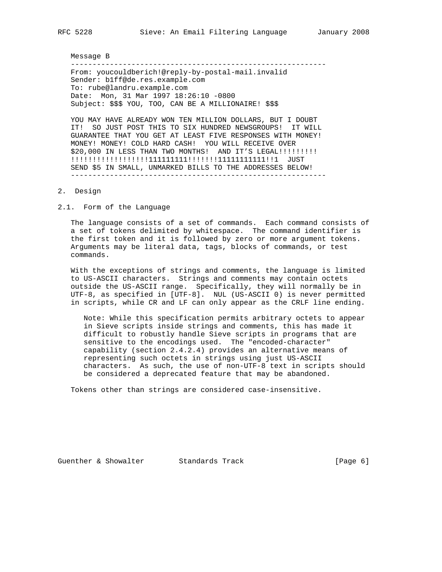#### Message B

 ----------------------------------------------------------- From: youcouldberich!@reply-by-postal-mail.invalid Sender: b1ff@de.res.example.com To: rube@landru.example.com Date: Mon, 31 Mar 1997 18:26:10 -0800 Subject: \$\$\$ YOU, TOO, CAN BE A MILLIONAIRE! \$\$\$

 YOU MAY HAVE ALREADY WON TEN MILLION DOLLARS, BUT I DOUBT IT! SO JUST POST THIS TO SIX HUNDRED NEWSGROUPS! IT WILL GUARANTEE THAT YOU GET AT LEAST FIVE RESPONSES WITH MONEY! MONEY! MONEY! COLD HARD CASH! YOU WILL RECEIVE OVER \$20,000 IN LESS THAN TWO MONTHS! AND IT'S LEGAL!!!!!!!!!! !!!!!!!!!!!!!!!!!!111111111!!!!!!!11111111111!!1 JUST SEND \$5 IN SMALL, UNMARKED BILLS TO THE ADDRESSES BELOW! -----------------------------------------------------------

## 2. Design

2.1. Form of the Language

 The language consists of a set of commands. Each command consists of a set of tokens delimited by whitespace. The command identifier is the first token and it is followed by zero or more argument tokens. Arguments may be literal data, tags, blocks of commands, or test commands.

 With the exceptions of strings and comments, the language is limited to US-ASCII characters. Strings and comments may contain octets outside the US-ASCII range. Specifically, they will normally be in UTF-8, as specified in [UTF-8]. NUL (US-ASCII 0) is never permitted in scripts, while CR and LF can only appear as the CRLF line ending.

 Note: While this specification permits arbitrary octets to appear in Sieve scripts inside strings and comments, this has made it difficult to robustly handle Sieve scripts in programs that are sensitive to the encodings used. The "encoded-character" capability (section 2.4.2.4) provides an alternative means of representing such octets in strings using just US-ASCII characters. As such, the use of non-UTF-8 text in scripts should be considered a deprecated feature that may be abandoned.

Tokens other than strings are considered case-insensitive.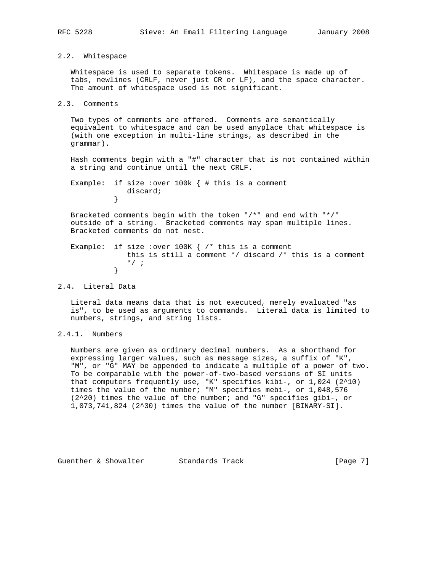## 2.2. Whitespace

 Whitespace is used to separate tokens. Whitespace is made up of tabs, newlines (CRLF, never just CR or LF), and the space character. The amount of whitespace used is not significant.

```
2.3. Comments
```
 Two types of comments are offered. Comments are semantically equivalent to whitespace and can be used anyplace that whitespace is (with one exception in multi-line strings, as described in the grammar).

 Hash comments begin with a "#" character that is not contained within a string and continue until the next CRLF.

Example: if size : over 100k  $\{$  # this is a comment discard; }

 Bracketed comments begin with the token "/\*" and end with "\*/" outside of a string. Bracketed comments may span multiple lines. Bracketed comments do not nest.

Example: if size : over  $100K$  {  $/*$  this is a comment this is still a comment \*/ discard /\* this is a comment  $\begin{matrix} \ast / & ; \\ \end{matrix}$ }

2.4. Literal Data

 Literal data means data that is not executed, merely evaluated "as is", to be used as arguments to commands. Literal data is limited to numbers, strings, and string lists.

2.4.1. Numbers

 Numbers are given as ordinary decimal numbers. As a shorthand for expressing larger values, such as message sizes, a suffix of "K", "M", or "G" MAY be appended to indicate a multiple of a power of two. To be comparable with the power-of-two-based versions of SI units that computers frequently use, "K" specifies kibi-, or 1,024 (2^10) times the value of the number; "M" specifies mebi-, or 1,048,576 (2^20) times the value of the number; and "G" specifies gibi-, or 1,073,741,824 (2^30) times the value of the number [BINARY-SI].

Guenther & Showalter Standards Track [Page 7]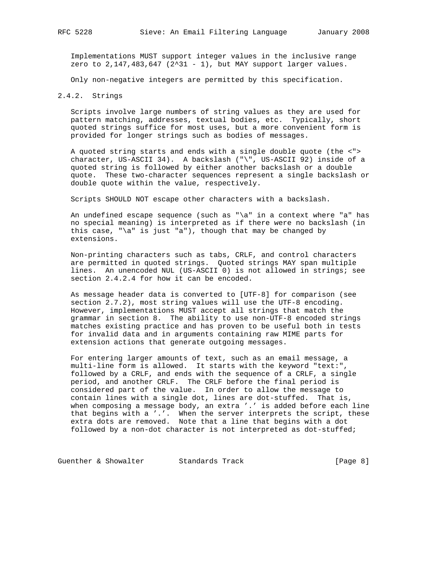Implementations MUST support integer values in the inclusive range zero to  $2,147,483,647$  ( $2^31 - 1$ ), but MAY support larger values.

Only non-negative integers are permitted by this specification.

## 2.4.2. Strings

 Scripts involve large numbers of string values as they are used for pattern matching, addresses, textual bodies, etc. Typically, short quoted strings suffice for most uses, but a more convenient form is provided for longer strings such as bodies of messages.

 A quoted string starts and ends with a single double quote (the <"> character, US-ASCII 34). A backslash ("\", US-ASCII 92) inside of a quoted string is followed by either another backslash or a double quote. These two-character sequences represent a single backslash or double quote within the value, respectively.

Scripts SHOULD NOT escape other characters with a backslash.

 An undefined escape sequence (such as "\a" in a context where "a" has no special meaning) is interpreted as if there were no backslash (in this case, " $\a$ " is just "a"), though that may be changed by extensions.

 Non-printing characters such as tabs, CRLF, and control characters are permitted in quoted strings. Quoted strings MAY span multiple lines. An unencoded NUL (US-ASCII 0) is not allowed in strings; see section 2.4.2.4 for how it can be encoded.

 As message header data is converted to [UTF-8] for comparison (see section 2.7.2), most string values will use the UTF-8 encoding. However, implementations MUST accept all strings that match the grammar in section 8. The ability to use non-UTF-8 encoded strings matches existing practice and has proven to be useful both in tests for invalid data and in arguments containing raw MIME parts for extension actions that generate outgoing messages.

 For entering larger amounts of text, such as an email message, a multi-line form is allowed. It starts with the keyword "text:", followed by a CRLF, and ends with the sequence of a CRLF, a single period, and another CRLF. The CRLF before the final period is considered part of the value. In order to allow the message to contain lines with a single dot, lines are dot-stuffed. That is, when composing a message body, an extra '.' is added before each line that begins with a '.'. When the server interprets the script, these extra dots are removed. Note that a line that begins with a dot followed by a non-dot character is not interpreted as dot-stuffed;

Guenther & Showalter Standards Track [Page 8]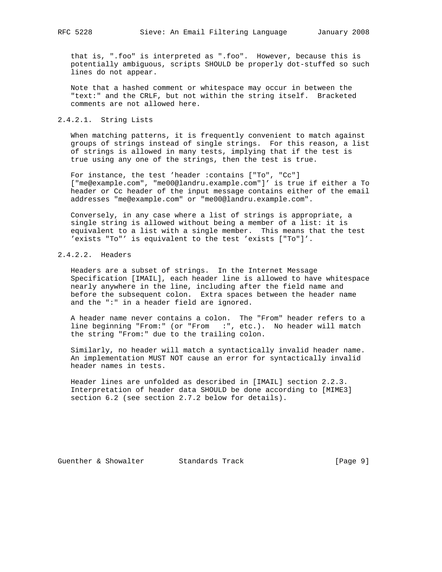that is, ".foo" is interpreted as ".foo". However, because this is potentially ambiguous, scripts SHOULD be properly dot-stuffed so such lines do not appear.

 Note that a hashed comment or whitespace may occur in between the "text:" and the CRLF, but not within the string itself. Bracketed comments are not allowed here.

## 2.4.2.1. String Lists

 When matching patterns, it is frequently convenient to match against groups of strings instead of single strings. For this reason, a list of strings is allowed in many tests, implying that if the test is true using any one of the strings, then the test is true.

 For instance, the test 'header :contains ["To", "Cc"] ["me@example.com", "me00@landru.example.com"]' is true if either a To header or Cc header of the input message contains either of the email addresses "me@example.com" or "me00@landru.example.com".

 Conversely, in any case where a list of strings is appropriate, a single string is allowed without being a member of a list: it is equivalent to a list with a single member. This means that the test 'exists "To"' is equivalent to the test 'exists ["To"]'.

# 2.4.2.2. Headers

 Headers are a subset of strings. In the Internet Message Specification [IMAIL], each header line is allowed to have whitespace nearly anywhere in the line, including after the field name and before the subsequent colon. Extra spaces between the header name and the ":" in a header field are ignored.

 A header name never contains a colon. The "From" header refers to a line beginning "From:" (or "From :", etc.). No header will match the string "From:" due to the trailing colon.

 Similarly, no header will match a syntactically invalid header name. An implementation MUST NOT cause an error for syntactically invalid header names in tests.

 Header lines are unfolded as described in [IMAIL] section 2.2.3. Interpretation of header data SHOULD be done according to [MIME3] section 6.2 (see section 2.7.2 below for details).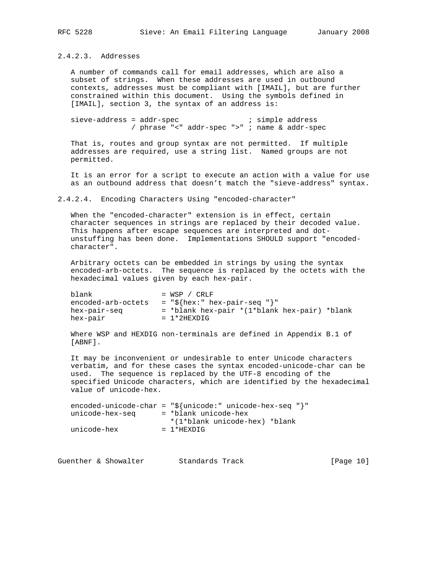# 2.4.2.3. Addresses

 A number of commands call for email addresses, which are also a subset of strings. When these addresses are used in outbound contexts, addresses must be compliant with [IMAIL], but are further constrained within this document. Using the symbols defined in [IMAIL], section 3, the syntax of an address is:

sieve-address = addr-spec <br> ; simple address / phrase "<" addr-spec ">" ; name & addr-spec

 That is, routes and group syntax are not permitted. If multiple addresses are required, use a string list. Named groups are not permitted.

 It is an error for a script to execute an action with a value for use as an outbound address that doesn't match the "sieve-address" syntax.

2.4.2.4. Encoding Characters Using "encoded-character"

 When the "encoded-character" extension is in effect, certain character sequences in strings are replaced by their decoded value. This happens after escape sequences are interpreted and dot unstuffing has been done. Implementations SHOULD support "encoded character".

 Arbitrary octets can be embedded in strings by using the syntax encoded-arb-octets. The sequence is replaced by the octets with the hexadecimal values given by each hex-pair.

 $blank$  = WSP / CRLF encoded-arb-octets =  $\sqrt{s}$ {hex:" hex-pair-seq "}" hex-pair-seq = \*blank hex-pair \*(1\*blank hex-pair) \*blank hex-pair = 1\*2HEXDIG

 Where WSP and HEXDIG non-terminals are defined in Appendix B.1 of [ABNF].

 It may be inconvenient or undesirable to enter Unicode characters verbatim, and for these cases the syntax encoded-unicode-char can be used. The sequence is replaced by the UTF-8 encoding of the specified Unicode characters, which are identified by the hexadecimal value of unicode-hex.

|                 | encoded-unicode-char = " $\frac{5}{2}$ {unicode:" unicode-hex-seq "}" |
|-----------------|-----------------------------------------------------------------------|
| unicode-hex-seg | = *blank unicode-hex                                                  |
|                 | *(1*blank unicode-hex) *blank                                         |
| unicode-hex     | $= 1*HEXD T G$                                                        |

Guenther & Showalter Standards Track [Page 10]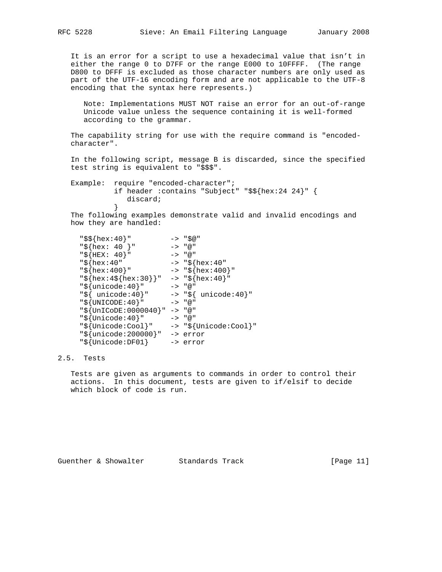It is an error for a script to use a hexadecimal value that isn't in either the range 0 to D7FF or the range E000 to 10FFFF. (The range D800 to DFFF is excluded as those character numbers are only used as part of the UTF-16 encoding form and are not applicable to the UTF-8 encoding that the syntax here represents.)

 Note: Implementations MUST NOT raise an error for an out-of-range Unicode value unless the sequence containing it is well-formed according to the grammar.

 The capability string for use with the require command is "encoded character".

 In the following script, message B is discarded, since the specified test string is equivalent to "\$\$\$".

 Example: require "encoded-character"; if header :contains "Subject" "\$\${hex:24 24}" { discard;<br>} }

 The following examples demonstrate valid and invalid encodings and how they are handled:

```
 "$${hex:40}" -> "$@"
 "${hex: 40 }" -> "@"
 "${HEX: 40}" -> "@"
 "${hex:40" -> "${hex:40"
 "${hex:400}" -> "${hex:400}"
 "${hex:4${hex:30}}" -> "${hex:40}"
 "${unicode:40}" -> "@"
 "${ unicode:40}" -> "${ unicode:40}"
 "${UNICODE:40}" -> "@"
 "${UnICoDE:0000040}" -> "@"
 "${Unicode:40}" -> "@"
 "${Unicode:Cool}" -> "${Unicode:Cool}"
    "${unicode:200000}" -> error
   "\s{Unicode:DF01} -> error
```
# 2.5. Tests

 Tests are given as arguments to commands in order to control their actions. In this document, tests are given to if/elsif to decide which block of code is run.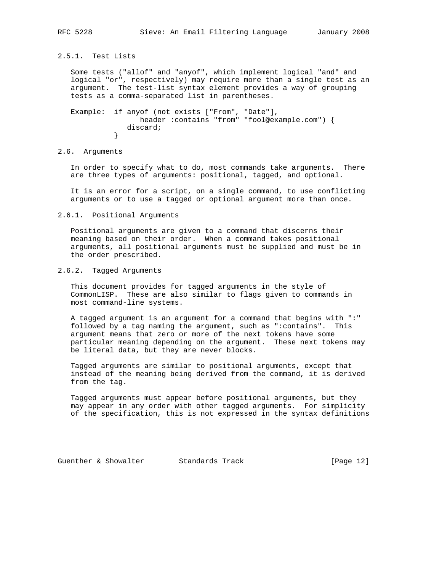# 2.5.1. Test Lists

 Some tests ("allof" and "anyof", which implement logical "and" and logical "or", respectively) may require more than a single test as an argument. The test-list syntax element provides a way of grouping tests as a comma-separated list in parentheses.

 Example: if anyof (not exists ["From", "Date"], header :contains "from" "fool@example.com") { discard;<br>} }

## 2.6. Arguments

 In order to specify what to do, most commands take arguments. There are three types of arguments: positional, tagged, and optional.

 It is an error for a script, on a single command, to use conflicting arguments or to use a tagged or optional argument more than once.

#### 2.6.1. Positional Arguments

 Positional arguments are given to a command that discerns their meaning based on their order. When a command takes positional arguments, all positional arguments must be supplied and must be in the order prescribed.

## 2.6.2. Tagged Arguments

 This document provides for tagged arguments in the style of CommonLISP. These are also similar to flags given to commands in most command-line systems.

 A tagged argument is an argument for a command that begins with ":" followed by a tag naming the argument, such as ":contains". This argument means that zero or more of the next tokens have some particular meaning depending on the argument. These next tokens may be literal data, but they are never blocks.

 Tagged arguments are similar to positional arguments, except that instead of the meaning being derived from the command, it is derived from the tag.

 Tagged arguments must appear before positional arguments, but they may appear in any order with other tagged arguments. For simplicity of the specification, this is not expressed in the syntax definitions

Guenther & Showalter Standards Track [Page 12]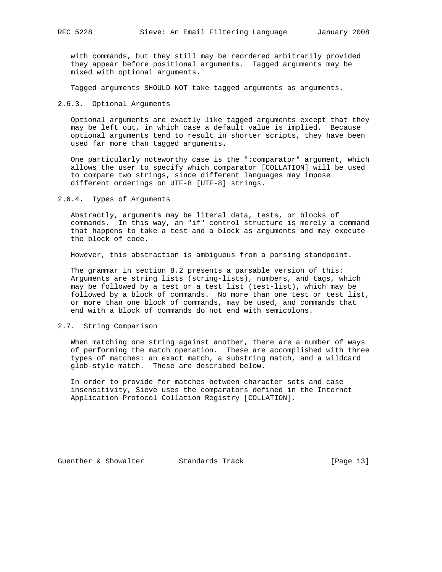with commands, but they still may be reordered arbitrarily provided they appear before positional arguments. Tagged arguments may be mixed with optional arguments.

Tagged arguments SHOULD NOT take tagged arguments as arguments.

2.6.3. Optional Arguments

 Optional arguments are exactly like tagged arguments except that they may be left out, in which case a default value is implied. Because optional arguments tend to result in shorter scripts, they have been used far more than tagged arguments.

 One particularly noteworthy case is the ":comparator" argument, which allows the user to specify which comparator [COLLATION] will be used to compare two strings, since different languages may impose different orderings on UTF-8 [UTF-8] strings.

2.6.4. Types of Arguments

 Abstractly, arguments may be literal data, tests, or blocks of commands. In this way, an "if" control structure is merely a command that happens to take a test and a block as arguments and may execute the block of code.

However, this abstraction is ambiguous from a parsing standpoint.

 The grammar in section 8.2 presents a parsable version of this: Arguments are string lists (string-lists), numbers, and tags, which may be followed by a test or a test list (test-list), which may be followed by a block of commands. No more than one test or test list, or more than one block of commands, may be used, and commands that end with a block of commands do not end with semicolons.

## 2.7. String Comparison

 When matching one string against another, there are a number of ways of performing the match operation. These are accomplished with three types of matches: an exact match, a substring match, and a wildcard glob-style match. These are described below.

 In order to provide for matches between character sets and case insensitivity, Sieve uses the comparators defined in the Internet Application Protocol Collation Registry [COLLATION].

Guenther & Showalter Standards Track [Page 13]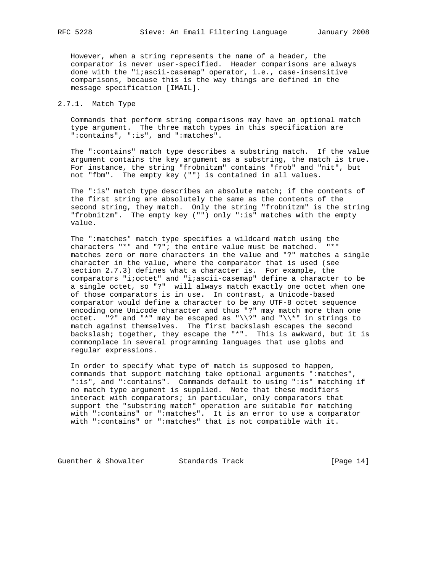However, when a string represents the name of a header, the comparator is never user-specified. Header comparisons are always done with the "i;ascii-casemap" operator, i.e., case-insensitive comparisons, because this is the way things are defined in the message specification [IMAIL].

## 2.7.1. Match Type

 Commands that perform string comparisons may have an optional match type argument. The three match types in this specification are ":contains", ":is", and ":matches".

 The ":contains" match type describes a substring match. If the value argument contains the key argument as a substring, the match is true. For instance, the string "frobnitzm" contains "frob" and "nit", but not "fbm". The empty key ("") is contained in all values.

 The ":is" match type describes an absolute match; if the contents of the first string are absolutely the same as the contents of the second string, they match. Only the string "frobnitzm" is the string "frobnitzm". The empty key ("") only ":is" matches with the empty value.

 The ":matches" match type specifies a wildcard match using the characters "\*" and "?"; the entire value must be matched. "\*" matches zero or more characters in the value and "?" matches a single character in the value, where the comparator that is used (see section 2.7.3) defines what a character is. For example, the comparators "i;octet" and "i;ascii-casemap" define a character to be a single octet, so "?" will always match exactly one octet when one of those comparators is in use. In contrast, a Unicode-based comparator would define a character to be any UTF-8 octet sequence encoding one Unicode character and thus "?" may match more than one octet. "?" and "\*" may be escaped as " $\\\$ ?" and " $\$ \*" in strings to match against themselves. The first backslash escapes the second backslash; together, they escape the "\*". This is awkward, but it is commonplace in several programming languages that use globs and regular expressions.

 In order to specify what type of match is supposed to happen, commands that support matching take optional arguments ":matches", ":is", and ":contains". Commands default to using ":is" matching if no match type argument is supplied. Note that these modifiers interact with comparators; in particular, only comparators that support the "substring match" operation are suitable for matching with ":contains" or ":matches". It is an error to use a comparator with ":contains" or ":matches" that is not compatible with it.

Guenther & Showalter Standards Track [Page 14]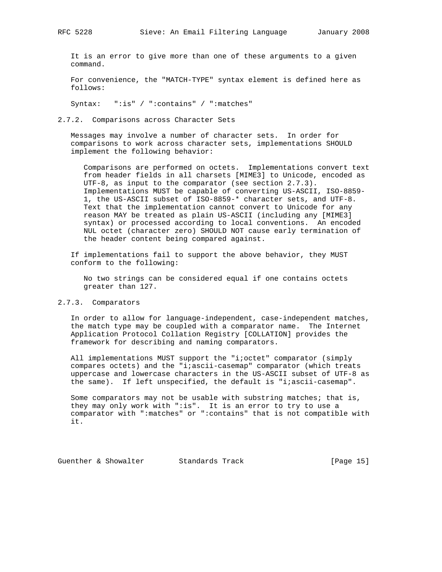It is an error to give more than one of these arguments to a given command.

 For convenience, the "MATCH-TYPE" syntax element is defined here as follows:

Syntax: ":is" / ":contains" / ":matches"

2.7.2. Comparisons across Character Sets

 Messages may involve a number of character sets. In order for comparisons to work across character sets, implementations SHOULD implement the following behavior:

 Comparisons are performed on octets. Implementations convert text from header fields in all charsets [MIME3] to Unicode, encoded as UTF-8, as input to the comparator (see section 2.7.3). Implementations MUST be capable of converting US-ASCII, ISO-8859- 1, the US-ASCII subset of ISO-8859-\* character sets, and UTF-8. Text that the implementation cannot convert to Unicode for any reason MAY be treated as plain US-ASCII (including any [MIME3] syntax) or processed according to local conventions. An encoded NUL octet (character zero) SHOULD NOT cause early termination of the header content being compared against.

 If implementations fail to support the above behavior, they MUST conform to the following:

 No two strings can be considered equal if one contains octets greater than 127.

#### 2.7.3. Comparators

 In order to allow for language-independent, case-independent matches, the match type may be coupled with a comparator name. The Internet Application Protocol Collation Registry [COLLATION] provides the framework for describing and naming comparators.

 All implementations MUST support the "i;octet" comparator (simply compares octets) and the "i;ascii-casemap" comparator (which treats uppercase and lowercase characters in the US-ASCII subset of UTF-8 as the same). If left unspecified, the default is "i;ascii-casemap".

 Some comparators may not be usable with substring matches; that is, they may only work with ":is". It is an error to try to use a comparator with ":matches" or ":contains" that is not compatible with it.

Guenther & Showalter Standards Track [Page 15]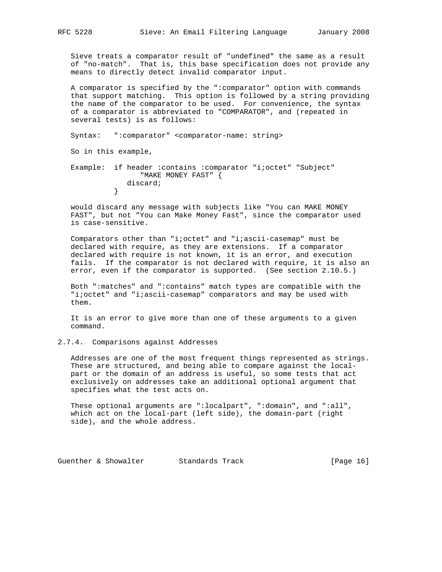Sieve treats a comparator result of "undefined" the same as a result of "no-match". That is, this base specification does not provide any means to directly detect invalid comparator input.

 A comparator is specified by the ":comparator" option with commands that support matching. This option is followed by a string providing the name of the comparator to be used. For convenience, the syntax of a comparator is abbreviated to "COMPARATOR", and (repeated in several tests) is as follows:

Syntax: ":comparator" <comparator-name: string>

So in this example,

 Example: if header :contains :comparator "i;octet" "Subject" "MAKE MONEY FAST" { discard;<br>} }

 would discard any message with subjects like "You can MAKE MONEY FAST", but not "You can Make Money Fast", since the comparator used is case-sensitive.

 Comparators other than "i;octet" and "i;ascii-casemap" must be declared with require, as they are extensions. If a comparator declared with require is not known, it is an error, and execution fails. If the comparator is not declared with require, it is also an error, even if the comparator is supported. (See section 2.10.5.)

 Both ":matches" and ":contains" match types are compatible with the "i;octet" and "i;ascii-casemap" comparators and may be used with them.

 It is an error to give more than one of these arguments to a given command.

2.7.4. Comparisons against Addresses

 Addresses are one of the most frequent things represented as strings. These are structured, and being able to compare against the local part or the domain of an address is useful, so some tests that act exclusively on addresses take an additional optional argument that specifies what the test acts on.

 These optional arguments are ":localpart", ":domain", and ":all", which act on the local-part (left side), the domain-part (right side), and the whole address.

Guenther & Showalter Standards Track [Page 16]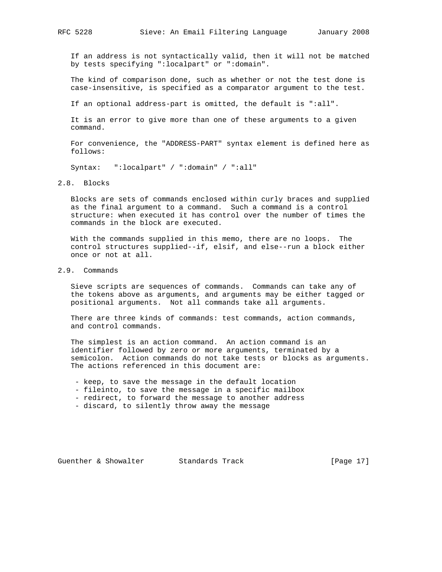If an address is not syntactically valid, then it will not be matched by tests specifying ":localpart" or ":domain".

 The kind of comparison done, such as whether or not the test done is case-insensitive, is specified as a comparator argument to the test.

If an optional address-part is omitted, the default is ":all".

 It is an error to give more than one of these arguments to a given command.

 For convenience, the "ADDRESS-PART" syntax element is defined here as follows:

Syntax: ":localpart" / ":domain" / ":all"

## 2.8. Blocks

 Blocks are sets of commands enclosed within curly braces and supplied as the final argument to a command. Such a command is a control structure: when executed it has control over the number of times the commands in the block are executed.

 With the commands supplied in this memo, there are no loops. The control structures supplied--if, elsif, and else--run a block either once or not at all.

## 2.9. Commands

 Sieve scripts are sequences of commands. Commands can take any of the tokens above as arguments, and arguments may be either tagged or positional arguments. Not all commands take all arguments.

 There are three kinds of commands: test commands, action commands, and control commands.

 The simplest is an action command. An action command is an identifier followed by zero or more arguments, terminated by a semicolon. Action commands do not take tests or blocks as arguments. The actions referenced in this document are:

- keep, to save the message in the default location

- fileinto, to save the message in a specific mailbox
- redirect, to forward the message to another address
- discard, to silently throw away the message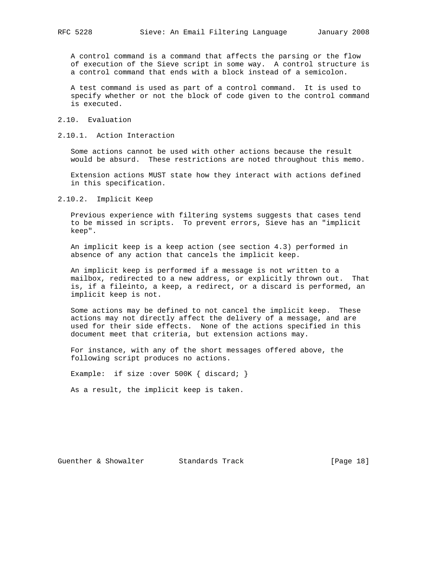A control command is a command that affects the parsing or the flow of execution of the Sieve script in some way. A control structure is a control command that ends with a block instead of a semicolon.

 A test command is used as part of a control command. It is used to specify whether or not the block of code given to the control command is executed.

- 2.10. Evaluation
- 2.10.1. Action Interaction

 Some actions cannot be used with other actions because the result would be absurd. These restrictions are noted throughout this memo.

 Extension actions MUST state how they interact with actions defined in this specification.

2.10.2. Implicit Keep

 Previous experience with filtering systems suggests that cases tend to be missed in scripts. To prevent errors, Sieve has an "implicit keep".

 An implicit keep is a keep action (see section 4.3) performed in absence of any action that cancels the implicit keep.

 An implicit keep is performed if a message is not written to a mailbox, redirected to a new address, or explicitly thrown out. That is, if a fileinto, a keep, a redirect, or a discard is performed, an implicit keep is not.

 Some actions may be defined to not cancel the implicit keep. These actions may not directly affect the delivery of a message, and are used for their side effects. None of the actions specified in this document meet that criteria, but extension actions may.

 For instance, with any of the short messages offered above, the following script produces no actions.

Example: if size : over 500K { discard; }

As a result, the implicit keep is taken.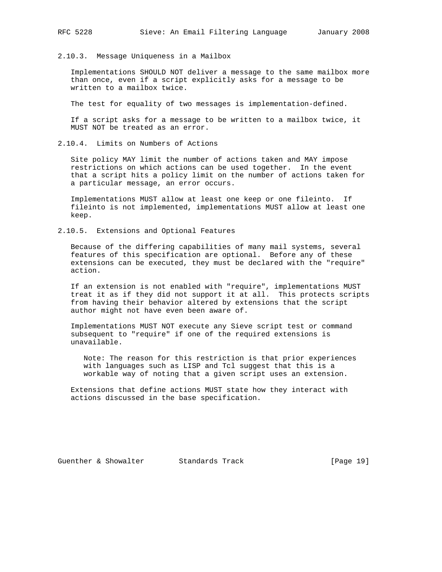2.10.3. Message Uniqueness in a Mailbox

 Implementations SHOULD NOT deliver a message to the same mailbox more than once, even if a script explicitly asks for a message to be written to a mailbox twice.

The test for equality of two messages is implementation-defined.

 If a script asks for a message to be written to a mailbox twice, it MUST NOT be treated as an error.

2.10.4. Limits on Numbers of Actions

 Site policy MAY limit the number of actions taken and MAY impose restrictions on which actions can be used together. In the event that a script hits a policy limit on the number of actions taken for a particular message, an error occurs.

 Implementations MUST allow at least one keep or one fileinto. If fileinto is not implemented, implementations MUST allow at least one keep.

2.10.5. Extensions and Optional Features

 Because of the differing capabilities of many mail systems, several features of this specification are optional. Before any of these extensions can be executed, they must be declared with the "require" action.

 If an extension is not enabled with "require", implementations MUST treat it as if they did not support it at all. This protects scripts from having their behavior altered by extensions that the script author might not have even been aware of.

 Implementations MUST NOT execute any Sieve script test or command subsequent to "require" if one of the required extensions is unavailable.

 Note: The reason for this restriction is that prior experiences with languages such as LISP and Tcl suggest that this is a workable way of noting that a given script uses an extension.

 Extensions that define actions MUST state how they interact with actions discussed in the base specification.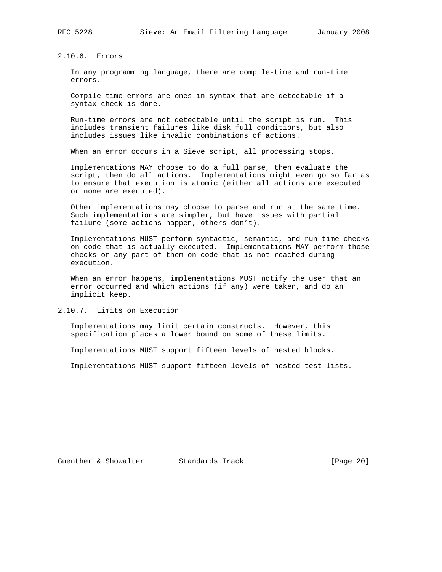2.10.6. Errors

 In any programming language, there are compile-time and run-time errors.

 Compile-time errors are ones in syntax that are detectable if a syntax check is done.

 Run-time errors are not detectable until the script is run. This includes transient failures like disk full conditions, but also includes issues like invalid combinations of actions.

When an error occurs in a Sieve script, all processing stops.

 Implementations MAY choose to do a full parse, then evaluate the script, then do all actions. Implementations might even go so far as to ensure that execution is atomic (either all actions are executed or none are executed).

 Other implementations may choose to parse and run at the same time. Such implementations are simpler, but have issues with partial failure (some actions happen, others don't).

 Implementations MUST perform syntactic, semantic, and run-time checks on code that is actually executed. Implementations MAY perform those checks or any part of them on code that is not reached during execution.

 When an error happens, implementations MUST notify the user that an error occurred and which actions (if any) were taken, and do an implicit keep.

2.10.7. Limits on Execution

 Implementations may limit certain constructs. However, this specification places a lower bound on some of these limits.

Implementations MUST support fifteen levels of nested blocks.

Implementations MUST support fifteen levels of nested test lists.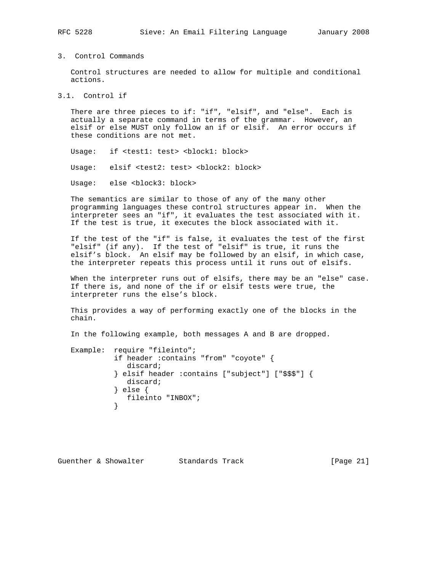## 3. Control Commands

 Control structures are needed to allow for multiple and conditional actions.

3.1. Control if

 There are three pieces to if: "if", "elsif", and "else". Each is actually a separate command in terms of the grammar. However, an elsif or else MUST only follow an if or elsif. An error occurs if these conditions are not met.

Usage: if <test1: test> <block1: block>

Usage: elsif <test2: test> <block2: block>

Usage: else <block3: block>

 The semantics are similar to those of any of the many other programming languages these control structures appear in. When the interpreter sees an "if", it evaluates the test associated with it. If the test is true, it executes the block associated with it.

 If the test of the "if" is false, it evaluates the test of the first "elsif" (if any). If the test of "elsif" is true, it runs the elsif's block. An elsif may be followed by an elsif, in which case, the interpreter repeats this process until it runs out of elsifs.

 When the interpreter runs out of elsifs, there may be an "else" case. If there is, and none of the if or elsif tests were true, the interpreter runs the else's block.

 This provides a way of performing exactly one of the blocks in the chain.

In the following example, both messages A and B are dropped.

```
 Example: require "fileinto";
             if header :contains "from" "coyote" {
                discard;
             } elsif header :contains ["subject"] ["$$$"] {
               discard;
             } else {
             fileinto "INBOX";
 }
```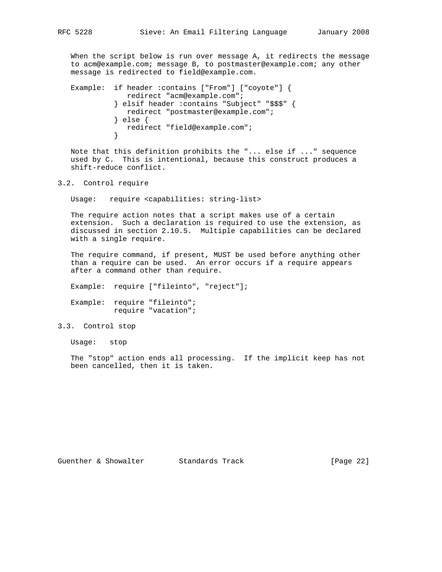When the script below is run over message A, it redirects the message to acm@example.com; message B, to postmaster@example.com; any other message is redirected to field@example.com.

```
 Example: if header :contains ["From"] ["coyote"] {
              redirect "acm@example.com";
             } elsif header :contains "Subject" "$$$" {
              redirect "postmaster@example.com";
             } else {
             redirect "field@example.com";
 }
```
 Note that this definition prohibits the "... else if ..." sequence used by C. This is intentional, because this construct produces a shift-reduce conflict.

```
3.2. Control require
```
Usage: require <capabilities: string-list>

 The require action notes that a script makes use of a certain extension. Such a declaration is required to use the extension, as discussed in section 2.10.5. Multiple capabilities can be declared with a single require.

 The require command, if present, MUST be used before anything other than a require can be used. An error occurs if a require appears after a command other than require.

Example: require ["fileinto", "reject"];

 Example: require "fileinto"; require "vacation";

3.3. Control stop

Usage: stop

 The "stop" action ends all processing. If the implicit keep has not been cancelled, then it is taken.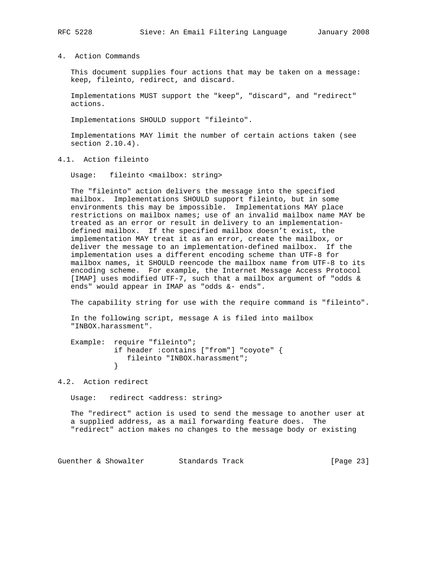4. Action Commands

 This document supplies four actions that may be taken on a message: keep, fileinto, redirect, and discard.

 Implementations MUST support the "keep", "discard", and "redirect" actions.

Implementations SHOULD support "fileinto".

 Implementations MAY limit the number of certain actions taken (see section 2.10.4).

4.1. Action fileinto

Usage: fileinto <mailbox: string>

 The "fileinto" action delivers the message into the specified mailbox. Implementations SHOULD support fileinto, but in some environments this may be impossible. Implementations MAY place restrictions on mailbox names; use of an invalid mailbox name MAY be treated as an error or result in delivery to an implementation defined mailbox. If the specified mailbox doesn't exist, the implementation MAY treat it as an error, create the mailbox, or deliver the message to an implementation-defined mailbox. If the implementation uses a different encoding scheme than UTF-8 for mailbox names, it SHOULD reencode the mailbox name from UTF-8 to its encoding scheme. For example, the Internet Message Access Protocol [IMAP] uses modified UTF-7, such that a mailbox argument of "odds & ends" would appear in IMAP as "odds &- ends".

The capability string for use with the require command is "fileinto".

 In the following script, message A is filed into mailbox "INBOX.harassment".

```
 Example: require "fileinto";
            if header :contains ["from"] "coyote" {
               fileinto "INBOX.harassment";
 }
```
4.2. Action redirect

```
Usage: redirect <address: string>
```
 The "redirect" action is used to send the message to another user at a supplied address, as a mail forwarding feature does. The "redirect" action makes no changes to the message body or existing

Guenther & Showalter Standards Track [Page 23]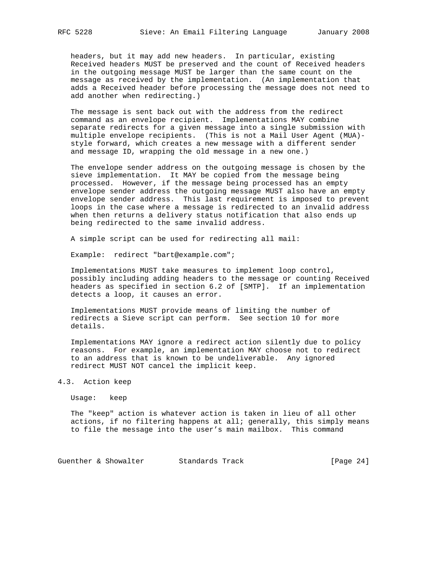headers, but it may add new headers. In particular, existing Received headers MUST be preserved and the count of Received headers in the outgoing message MUST be larger than the same count on the message as received by the implementation. (An implementation that adds a Received header before processing the message does not need to add another when redirecting.)

 The message is sent back out with the address from the redirect command as an envelope recipient. Implementations MAY combine separate redirects for a given message into a single submission with multiple envelope recipients. (This is not a Mail User Agent (MUA) style forward, which creates a new message with a different sender and message ID, wrapping the old message in a new one.)

 The envelope sender address on the outgoing message is chosen by the sieve implementation. It MAY be copied from the message being processed. However, if the message being processed has an empty envelope sender address the outgoing message MUST also have an empty envelope sender address. This last requirement is imposed to prevent loops in the case where a message is redirected to an invalid address when then returns a delivery status notification that also ends up being redirected to the same invalid address.

A simple script can be used for redirecting all mail:

Example: redirect "bart@example.com";

 Implementations MUST take measures to implement loop control, possibly including adding headers to the message or counting Received headers as specified in section 6.2 of [SMTP]. If an implementation detects a loop, it causes an error.

 Implementations MUST provide means of limiting the number of redirects a Sieve script can perform. See section 10 for more details.

 Implementations MAY ignore a redirect action silently due to policy reasons. For example, an implementation MAY choose not to redirect to an address that is known to be undeliverable. Any ignored redirect MUST NOT cancel the implicit keep.

## 4.3. Action keep

Usage: keep

 The "keep" action is whatever action is taken in lieu of all other actions, if no filtering happens at all; generally, this simply means to file the message into the user's main mailbox. This command

Guenther & Showalter Standards Track (Page 24)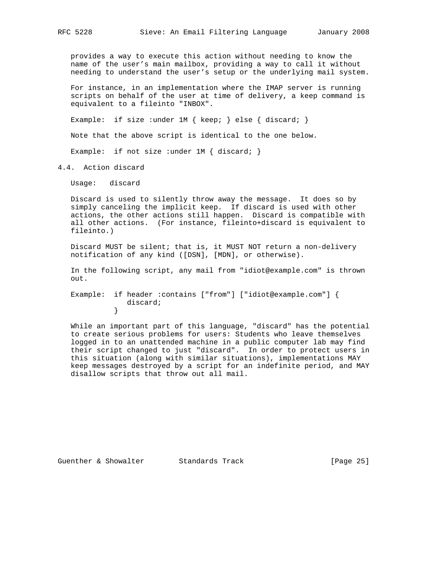provides a way to execute this action without needing to know the name of the user's main mailbox, providing a way to call it without needing to understand the user's setup or the underlying mail system.

 For instance, in an implementation where the IMAP server is running scripts on behalf of the user at time of delivery, a keep command is equivalent to a fileinto "INBOX".

Example: if size : under 1M { keep; } else { discard; }

Note that the above script is identical to the one below.

Example: if not size : under  $1M \{$  discard;  $\}$ 

4.4. Action discard

Usage: discard

 Discard is used to silently throw away the message. It does so by simply canceling the implicit keep. If discard is used with other actions, the other actions still happen. Discard is compatible with all other actions. (For instance, fileinto+discard is equivalent to fileinto.)

 Discard MUST be silent; that is, it MUST NOT return a non-delivery notification of any kind ([DSN], [MDN], or otherwise).

 In the following script, any mail from "idiot@example.com" is thrown out.

 Example: if header :contains ["from"] ["idiot@example.com"] { discard;<br>} }

 While an important part of this language, "discard" has the potential to create serious problems for users: Students who leave themselves logged in to an unattended machine in a public computer lab may find their script changed to just "discard". In order to protect users in this situation (along with similar situations), implementations MAY keep messages destroyed by a script for an indefinite period, and MAY disallow scripts that throw out all mail.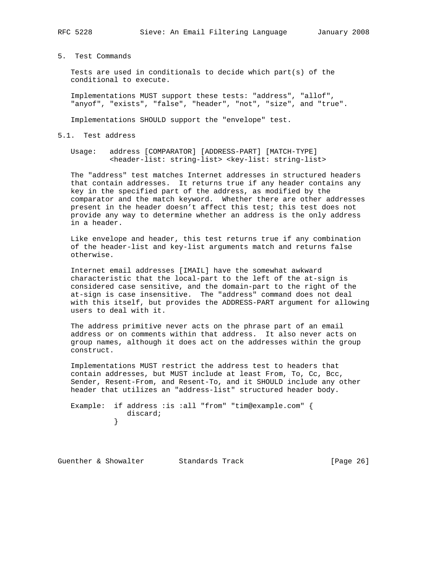5. Test Commands

 Tests are used in conditionals to decide which part(s) of the conditional to execute.

 Implementations MUST support these tests: "address", "allof", "anyof", "exists", "false", "header", "not", "size", and "true".

Implementations SHOULD support the "envelope" test.

5.1. Test address

 Usage: address [COMPARATOR] [ADDRESS-PART] [MATCH-TYPE] <header-list: string-list> <key-list: string-list>

 The "address" test matches Internet addresses in structured headers that contain addresses. It returns true if any header contains any key in the specified part of the address, as modified by the comparator and the match keyword. Whether there are other addresses present in the header doesn't affect this test; this test does not provide any way to determine whether an address is the only address in a header.

 Like envelope and header, this test returns true if any combination of the header-list and key-list arguments match and returns false otherwise.

 Internet email addresses [IMAIL] have the somewhat awkward characteristic that the local-part to the left of the at-sign is considered case sensitive, and the domain-part to the right of the at-sign is case insensitive. The "address" command does not deal with this itself, but provides the ADDRESS-PART argument for allowing users to deal with it.

 The address primitive never acts on the phrase part of an email address or on comments within that address. It also never acts on group names, although it does act on the addresses within the group construct.

 Implementations MUST restrict the address test to headers that contain addresses, but MUST include at least From, To, Cc, Bcc, Sender, Resent-From, and Resent-To, and it SHOULD include any other header that utilizes an "address-list" structured header body.

 Example: if address :is :all "from" "tim@example.com" { discard;<br>} }

Guenther & Showalter Standards Track [Page 26]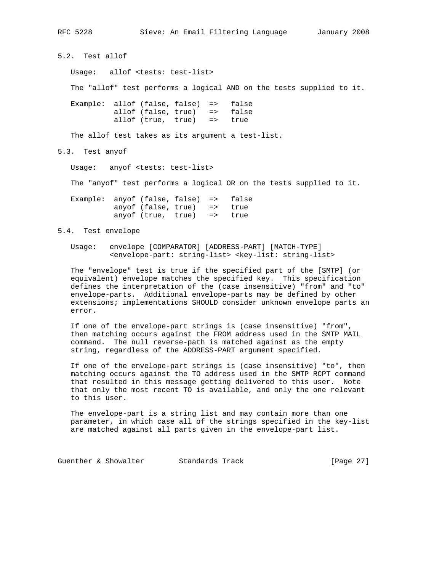5.2. Test allof

Usage: allof <tests: test-list>

The "allof" test performs a logical AND on the tests supplied to it.

 Example: allof (false, false) => false allof (false, true) => false allof (true, true) => true

The allof test takes as its argument a test-list.

5.3. Test anyof

Usage: anyof <tests: test-list>

The "anyof" test performs a logical OR on the tests supplied to it.

 Example: anyof (false, false) => false anyof (false, true) => true anyof (true, true) => true

## 5.4. Test envelope

 Usage: envelope [COMPARATOR] [ADDRESS-PART] [MATCH-TYPE] <envelope-part: string-list> <key-list: string-list>

 The "envelope" test is true if the specified part of the [SMTP] (or equivalent) envelope matches the specified key. This specification defines the interpretation of the (case insensitive) "from" and "to" envelope-parts. Additional envelope-parts may be defined by other extensions; implementations SHOULD consider unknown envelope parts an error.

 If one of the envelope-part strings is (case insensitive) "from", then matching occurs against the FROM address used in the SMTP MAIL command. The null reverse-path is matched against as the empty string, regardless of the ADDRESS-PART argument specified.

 If one of the envelope-part strings is (case insensitive) "to", then matching occurs against the TO address used in the SMTP RCPT command that resulted in this message getting delivered to this user. Note that only the most recent TO is available, and only the one relevant to this user.

 The envelope-part is a string list and may contain more than one parameter, in which case all of the strings specified in the key-list are matched against all parts given in the envelope-part list.

Guenther & Showalter Standards Track [Page 27]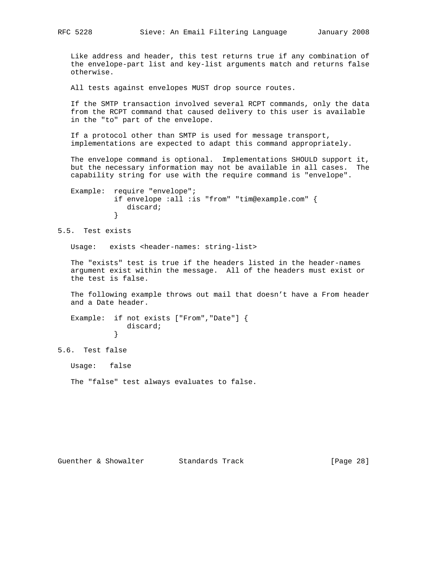Like address and header, this test returns true if any combination of the envelope-part list and key-list arguments match and returns false otherwise.

All tests against envelopes MUST drop source routes.

 If the SMTP transaction involved several RCPT commands, only the data from the RCPT command that caused delivery to this user is available in the "to" part of the envelope.

 If a protocol other than SMTP is used for message transport, implementations are expected to adapt this command appropriately.

 The envelope command is optional. Implementations SHOULD support it, but the necessary information may not be available in all cases. The capability string for use with the require command is "envelope".

 Example: require "envelope"; if envelope :all :is "from" "tim@example.com" { discard; }

5.5. Test exists

Usage: exists <header-names: string-list>

 The "exists" test is true if the headers listed in the header-names argument exist within the message. All of the headers must exist or the test is false.

 The following example throws out mail that doesn't have a From header and a Date header.

 Example: if not exists ["From","Date"] { discard;<br>} }

5.6. Test false

Usage: false

The "false" test always evaluates to false.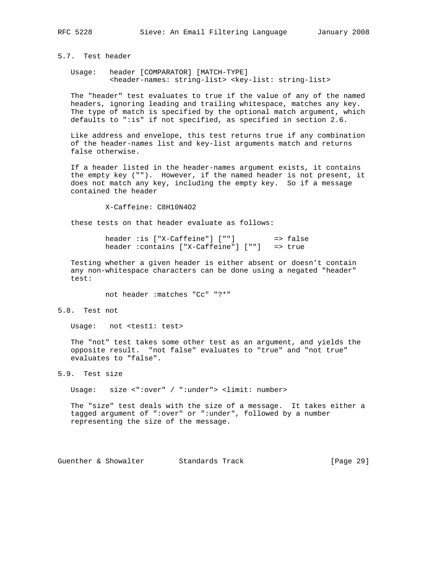# 5.7. Test header

 Usage: header [COMPARATOR] [MATCH-TYPE] <header-names: string-list> <key-list: string-list>

 The "header" test evaluates to true if the value of any of the named headers, ignoring leading and trailing whitespace, matches any key. The type of match is specified by the optional match argument, which defaults to ":is" if not specified, as specified in section 2.6.

 Like address and envelope, this test returns true if any combination of the header-names list and key-list arguments match and returns false otherwise.

 If a header listed in the header-names argument exists, it contains the empty key (""). However, if the named header is not present, it does not match any key, including the empty key. So if a message contained the header

X-Caffeine: C8H10N4O2

these tests on that header evaluate as follows:

 header :is ["X-Caffeine"] [""] => false header :contains ["X-Caffeine"] [""] => true

 Testing whether a given header is either absent or doesn't contain any non-whitespace characters can be done using a negated "header" test:

not header :matches "Cc" "?\*"

5.8. Test not

Usage: not <test1: test>

 The "not" test takes some other test as an argument, and yields the opposite result. "not false" evaluates to "true" and "not true" evaluates to "false".

5.9. Test size

Usage: size <":over" / ":under"> <limit: number>

 The "size" test deals with the size of a message. It takes either a tagged argument of ":over" or ":under", followed by a number representing the size of the message.

Guenther & Showalter Standards Track [Page 29]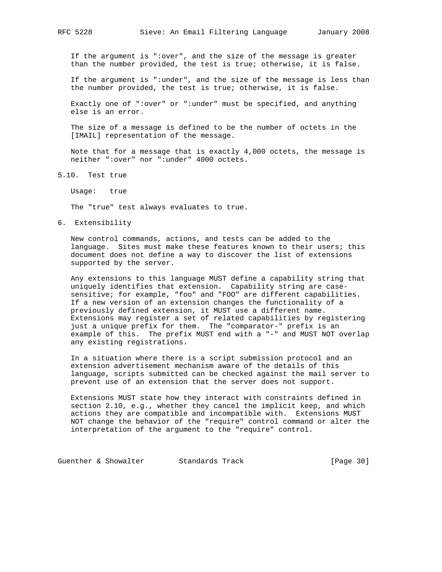If the argument is ":over", and the size of the message is greater than the number provided, the test is true; otherwise, it is false.

 If the argument is ":under", and the size of the message is less than the number provided, the test is true; otherwise, it is false.

 Exactly one of ":over" or ":under" must be specified, and anything else is an error.

 The size of a message is defined to be the number of octets in the [IMAIL] representation of the message.

 Note that for a message that is exactly 4,000 octets, the message is neither ":over" nor ":under" 4000 octets.

5.10. Test true

Usage: true

The "true" test always evaluates to true.

## 6. Extensibility

 New control commands, actions, and tests can be added to the language. Sites must make these features known to their users; this document does not define a way to discover the list of extensions supported by the server.

 Any extensions to this language MUST define a capability string that uniquely identifies that extension. Capability string are case sensitive; for example, "foo" and "FOO" are different capabilities. If a new version of an extension changes the functionality of a previously defined extension, it MUST use a different name. Extensions may register a set of related capabilities by registering just a unique prefix for them. The "comparator-" prefix is an example of this. The prefix MUST end with a "-" and MUST NOT overlap any existing registrations.

 In a situation where there is a script submission protocol and an extension advertisement mechanism aware of the details of this language, scripts submitted can be checked against the mail server to prevent use of an extension that the server does not support.

 Extensions MUST state how they interact with constraints defined in section 2.10, e.g., whether they cancel the implicit keep, and which actions they are compatible and incompatible with. Extensions MUST NOT change the behavior of the "require" control command or alter the interpretation of the argument to the "require" control.

Guenther & Showalter Standards Track [Page 30]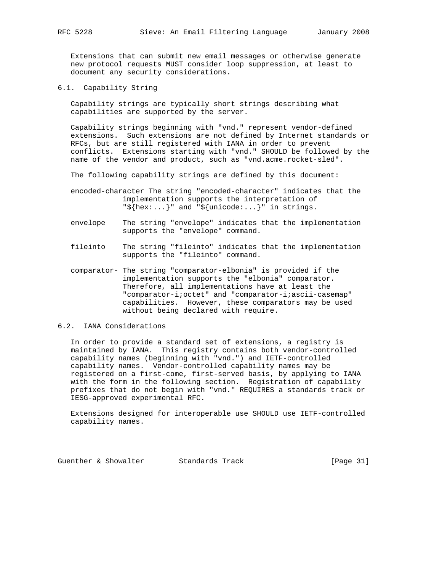Extensions that can submit new email messages or otherwise generate new protocol requests MUST consider loop suppression, at least to document any security considerations.

6.1. Capability String

 Capability strings are typically short strings describing what capabilities are supported by the server.

 Capability strings beginning with "vnd." represent vendor-defined extensions. Such extensions are not defined by Internet standards or RFCs, but are still registered with IANA in order to prevent conflicts. Extensions starting with "vnd." SHOULD be followed by the name of the vendor and product, such as "vnd.acme.rocket-sled".

The following capability strings are defined by this document:

 encoded-character The string "encoded-character" indicates that the implementation supports the interpretation of  $"\$$ {hex:...}" and "\${unicode:...}" in strings.

- envelope The string "envelope" indicates that the implementation supports the "envelope" command.
- fileinto The string "fileinto" indicates that the implementation supports the "fileinto" command.
- comparator- The string "comparator-elbonia" is provided if the implementation supports the "elbonia" comparator. Therefore, all implementations have at least the "comparator-i;octet" and "comparator-i;ascii-casemap" capabilities. However, these comparators may be used without being declared with require.

# 6.2. IANA Considerations

 In order to provide a standard set of extensions, a registry is maintained by IANA. This registry contains both vendor-controlled capability names (beginning with "vnd.") and IETF-controlled capability names. Vendor-controlled capability names may be registered on a first-come, first-served basis, by applying to IANA with the form in the following section. Registration of capability prefixes that do not begin with "vnd." REQUIRES a standards track or IESG-approved experimental RFC.

 Extensions designed for interoperable use SHOULD use IETF-controlled capability names.

Guenther & Showalter Standards Track [Page 31]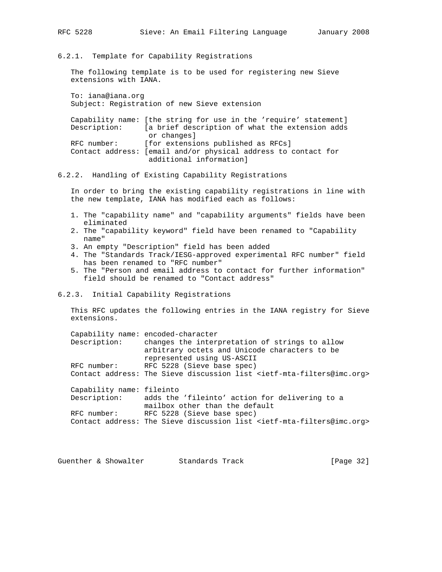6.2.1. Template for Capability Registrations

 The following template is to be used for registering new Sieve extensions with IANA.

 To: iana@iana.org Subject: Registration of new Sieve extension

 Capability name: [the string for use in the 'require' statement] Description: [a brief description of what the extension adds or changes] RFC number: [for extensions published as RFCs] Contact address: [email and/or physical address to contact for additional information]

## 6.2.2. Handling of Existing Capability Registrations

 In order to bring the existing capability registrations in line with the new template, IANA has modified each as follows:

- 1. The "capability name" and "capability arguments" fields have been eliminated
- 2. The "capability keyword" field have been renamed to "Capability name"
- 3. An empty "Description" field has been added
- 4. The "Standards Track/IESG-approved experimental RFC number" field has been renamed to "RFC number"
- 5. The "Person and email address to contact for further information" field should be renamed to "Contact address"

## 6.2.3. Initial Capability Registrations

 This RFC updates the following entries in the IANA registry for Sieve extensions.

 Capability name: encoded-character Description: changes the interpretation of strings to allow arbitrary octets and Unicode characters to be represented using US-ASCII RFC number: RFC 5228 (Sieve base spec) Contact address: The Sieve discussion list <ietf-mta-filters@imc.org> Capability name: fileinto Description: adds the 'fileinto' action for delivering to a mailbox other than the default RFC number: RFC 5228 (Sieve base spec)

Contact address: The Sieve discussion list <ietf-mta-filters@imc.org>

Guenther & Showalter Standards Track [Page 32]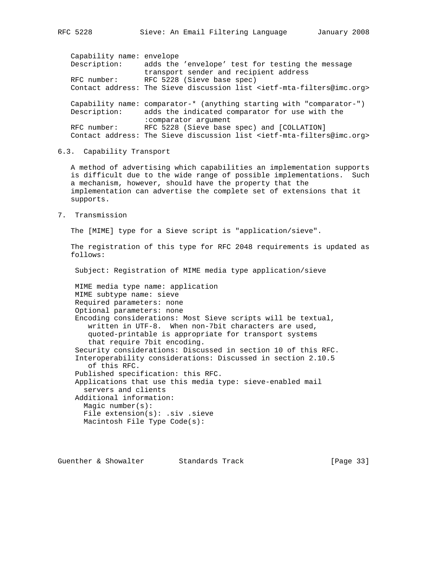Capability name: envelope Description: adds the 'envelope' test for testing the message transport sender and recipient address RFC number: RFC 5228 (Sieve base spec) Contact address: The Sieve discussion list <ietf-mta-filters@imc.org> Capability name: comparator-\* (anything starting with "comparator-") Description: adds the indicated comparator for use with the :comparator argument RFC number: RFC 5228 (Sieve base spec) and [COLLATION] Contact address: The Sieve discussion list <ietf-mta-filters@imc.org>

## 6.3. Capability Transport

 A method of advertising which capabilities an implementation supports is difficult due to the wide range of possible implementations. Such a mechanism, however, should have the property that the implementation can advertise the complete set of extensions that it supports.

7. Transmission

The [MIME] type for a Sieve script is "application/sieve".

 The registration of this type for RFC 2048 requirements is updated as follows:

Subject: Registration of MIME media type application/sieve

 MIME media type name: application MIME subtype name: sieve Required parameters: none Optional parameters: none Encoding considerations: Most Sieve scripts will be textual, written in UTF-8. When non-7bit characters are used, quoted-printable is appropriate for transport systems that require 7bit encoding. Security considerations: Discussed in section 10 of this RFC. Interoperability considerations: Discussed in section 2.10.5 of this RFC. Published specification: this RFC. Applications that use this media type: sieve-enabled mail servers and clients Additional information: Magic number(s): File extension(s): .siv .sieve Macintosh File Type Code(s):

Guenther & Showalter Standards Track [Page 33]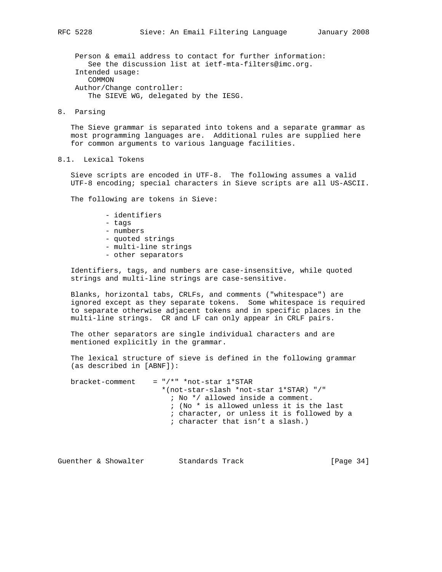Person & email address to contact for further information: See the discussion list at ietf-mta-filters@imc.org. Intended usage: COMMON Author/Change controller: The SIEVE WG, delegated by the IESG.

8. Parsing

 The Sieve grammar is separated into tokens and a separate grammar as most programming languages are. Additional rules are supplied here for common arguments to various language facilities.

# 8.1. Lexical Tokens

 Sieve scripts are encoded in UTF-8. The following assumes a valid UTF-8 encoding; special characters in Sieve scripts are all US-ASCII.

The following are tokens in Sieve:

- identifiers
- tags
- numbers
- quoted strings
- multi-line strings
- other separators

 Identifiers, tags, and numbers are case-insensitive, while quoted strings and multi-line strings are case-sensitive.

 Blanks, horizontal tabs, CRLFs, and comments ("whitespace") are ignored except as they separate tokens. Some whitespace is required to separate otherwise adjacent tokens and in specific places in the multi-line strings. CR and LF can only appear in CRLF pairs.

 The other separators are single individual characters and are mentioned explicitly in the grammar.

 The lexical structure of sieve is defined in the following grammar (as described in [ABNF]):

bracket-comment =  $*/*$ " \*not-star 1\*STAR \*(not-star-slash \*not-star 1\*STAR) "/" ; No \*/ allowed inside a comment. ; (No \* is allowed unless it is the last ; character, or unless it is followed by a ; character that isn't a slash.)

Guenther & Showalter Standards Track [Page 34]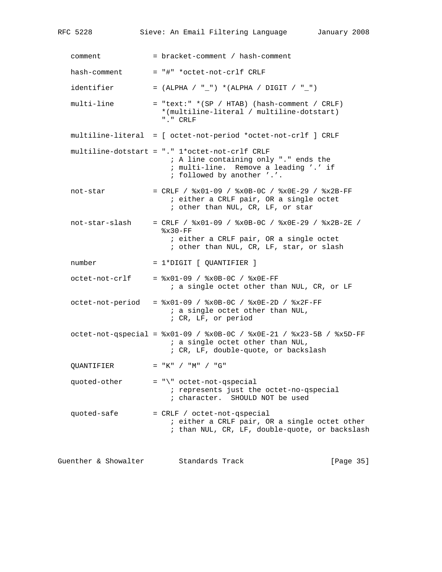| RFC 5228             | Sieve: An Email Filtering Language<br>January 2008                                                                                                             |  |
|----------------------|----------------------------------------------------------------------------------------------------------------------------------------------------------------|--|
| comment              | = bracket-comment / hash-comment                                                                                                                               |  |
| hash-comment         | = "#" *octet-not-crlf CRLF                                                                                                                                     |  |
| identifier           | = (ALPHA / "_") *(ALPHA / DIGIT / "_")                                                                                                                         |  |
| multi-line           | $=$ "text:" * (SP / HTAB) (hash-comment / CRLF)<br>*(multiline-literal / multiline-dotstart)<br>"." CRLF                                                       |  |
|                      | multiline-literal = [ octet-not-period *octet-not-crlf ] CRLF                                                                                                  |  |
|                      | multiline-dotstart = "." 1*octet-not-crlf CRLF<br>; A line containing only "." ends the<br>; multi-line. Remove a leading '.' if<br>; followed by another '.'. |  |
| not-star             | = CRLF / $8x01-09$ / $8x0B-0C$ / $8x0E-29$ / $8x2B-FF$<br>; either a CRLF pair, OR a single octet<br>; other than NUL, CR, LF, or star                         |  |
| not-star-slash       | = CRLF / $8x01-09$ / $8x0B-0C$ / $8x0E-29$ / $8x2B-2E$ /<br>$8x30-FF$<br>; either a CRLF pair, OR a single octet<br>; other than NUL, CR, LF, star, or slash   |  |
| number               | $= 1*Diff$ [ QUANTIFIER ]                                                                                                                                      |  |
| octet-not-crlf       | $=$ $x01-09$ / $x0B-0C$ / $x0E-FF$<br>; a single octet other than NUL, CR, or LF                                                                               |  |
|                      | octet-not-period = %x01-09 / %x0B-0C / %x0E-2D / %x2F-FF<br>; a single octet other than NUL,<br>; CR, LF, or period                                            |  |
|                      | octet-not-qspecial = $x01-09$ / $x0B-0C$ / $x0E-21$ / $x23-5B$ / $x5D-FF$<br>; a single octet other than NUL,<br>; CR, LF, double-quote, or backslash          |  |
| OUANTIFIER           | $= "K" / "M" / "G"$                                                                                                                                            |  |
| quoted-other         | = "\" octet-not-qspecial<br>; represents just the octet-no-qspecial<br>; character. SHOULD NOT be used                                                         |  |
| quoted-safe          | = CRLF / octet-not-qspecial<br>; either a CRLF pair, OR a single octet other<br>; than NUL, CR, LF, double-quote, or backslash                                 |  |
| Guenther & Showalter | Standards Track<br>[Page 35]                                                                                                                                   |  |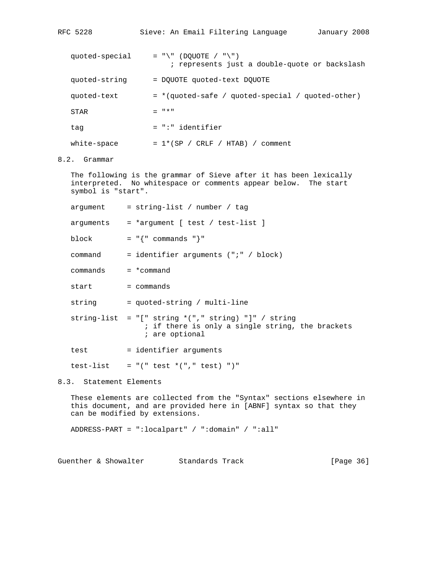| RFC 5228       | Sieve: An Email Filtering Language<br>January 2008                           |
|----------------|------------------------------------------------------------------------------|
| quoted-special | $= "\\ " (DOUOTE / "\\ " )$<br>; represents just a double-quote or backslash |
| quoted-string  | = DOUOTE quoted-text DOUOTE                                                  |
| quoted-text    | = *(quoted-safe / quoted-special / quoted-other)                             |
| STAR           | $= 11*11$                                                                    |
| tag            | $= " : " identifier$                                                         |
| white-space    | $= 1*(SP / CRLF / HTAB) / comment$                                           |

8.2. Grammar

 The following is the grammar of Sieve after it has been lexically interpreted. No whitespace or comments appear below. The start symbol is "start".

|                         | $argument = string-list / number / tag$                                                                                                     |
|-------------------------|---------------------------------------------------------------------------------------------------------------------------------------------|
|                         | $arguments = *argument [ test / test-list ]$                                                                                                |
| block                   | $=$ " $\{$ " commands " $\}$ "                                                                                                              |
| command                 | = identifier arguments $('':' / block)$                                                                                                     |
| $commands = *command$   |                                                                                                                                             |
| start                   | = commands                                                                                                                                  |
| string                  | = quoted-string / multi-line                                                                                                                |
|                         | string-list = $\lceil \cdot \rceil$ string *("," string) "]" / string<br>; if there is only a single string, the brackets<br>; are optional |
| test                    | = identifier arguments                                                                                                                      |
|                         | test-list = $"(" test * ("," test) ")"$                                                                                                     |
| 8.3. Statement Elements |                                                                                                                                             |
|                         | These elements are sellested from the "Cyntax" sestions elsewhere in                                                                        |

 These elements are collected from the "Syntax" sections elsewhere in this document, and are provided here in [ABNF] syntax so that they can be modified by extensions.

ADDRESS-PART = ":localpart" / ":domain" / ":all"

Guenther & Showalter Standards Track [Page 36]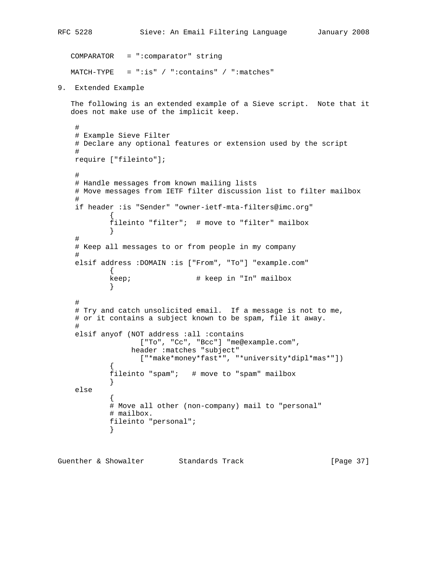```
RFC 5228 Sieve: An Email Filtering Language January 2008
   COMPARATOR = ":comparator" string
  MATCH-TYPE = ":is" / ":contains" / ":matches"
9. Extended Example
   The following is an extended example of a Sieve script. Note that it
   does not make use of the implicit keep.
    #
    # Example Sieve Filter
    # Declare any optional features or extension used by the script
    #
    require ["fileinto"];
    #
    # Handle messages from known mailing lists
    # Move messages from IETF filter discussion list to filter mailbox
    #
    if header :is "Sender" "owner-ietf-mta-filters@imc.org"
\{ fileinto "filter"; # move to "filter" mailbox
 }
     #
     # Keep all messages to or from people in my company
     #
    elsif address :DOMAIN :is ["From", "To"] "example.com"
            {
           keep; \qquad # keep in "In" mailbox
 }
 #
     # Try and catch unsolicited email. If a message is not to me,
     # or it contains a subject known to be spam, file it away.
    #
    elsif anyof (NOT address :all :contains
                  ["To", "Cc", "Bcc"] "me@example.com",
                 header :matches "subject"
                  ["*make*money*fast*", "*university*dipl*mas*"])
\{ fileinto "spam"; # move to "spam" mailbox
 }
    else
\{ # Move all other (non-company) mail to "personal"
            # mailbox.
            fileinto "personal";
 }
```
Guenther & Showalter Standards Track [Page 37]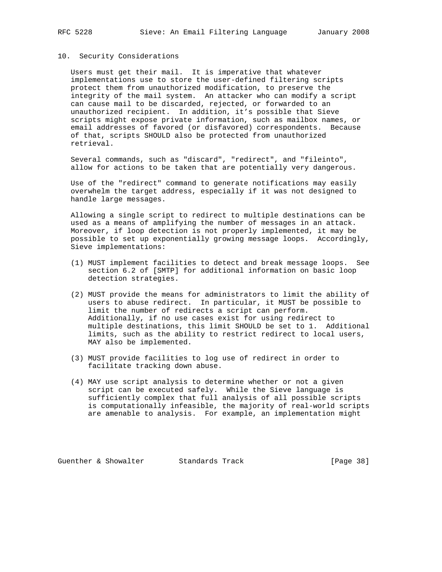## 10. Security Considerations

 Users must get their mail. It is imperative that whatever implementations use to store the user-defined filtering scripts protect them from unauthorized modification, to preserve the integrity of the mail system. An attacker who can modify a script can cause mail to be discarded, rejected, or forwarded to an unauthorized recipient. In addition, it's possible that Sieve scripts might expose private information, such as mailbox names, or email addresses of favored (or disfavored) correspondents. Because of that, scripts SHOULD also be protected from unauthorized retrieval.

 Several commands, such as "discard", "redirect", and "fileinto", allow for actions to be taken that are potentially very dangerous.

 Use of the "redirect" command to generate notifications may easily overwhelm the target address, especially if it was not designed to handle large messages.

 Allowing a single script to redirect to multiple destinations can be used as a means of amplifying the number of messages in an attack. Moreover, if loop detection is not properly implemented, it may be possible to set up exponentially growing message loops. Accordingly, Sieve implementations:

- (1) MUST implement facilities to detect and break message loops. See section 6.2 of [SMTP] for additional information on basic loop detection strategies.
- (2) MUST provide the means for administrators to limit the ability of users to abuse redirect. In particular, it MUST be possible to limit the number of redirects a script can perform. Additionally, if no use cases exist for using redirect to multiple destinations, this limit SHOULD be set to 1. Additional limits, such as the ability to restrict redirect to local users, MAY also be implemented.
- (3) MUST provide facilities to log use of redirect in order to facilitate tracking down abuse.
- (4) MAY use script analysis to determine whether or not a given script can be executed safely. While the Sieve language is sufficiently complex that full analysis of all possible scripts is computationally infeasible, the majority of real-world scripts are amenable to analysis. For example, an implementation might

Guenther & Showalter Standards Track [Page 38]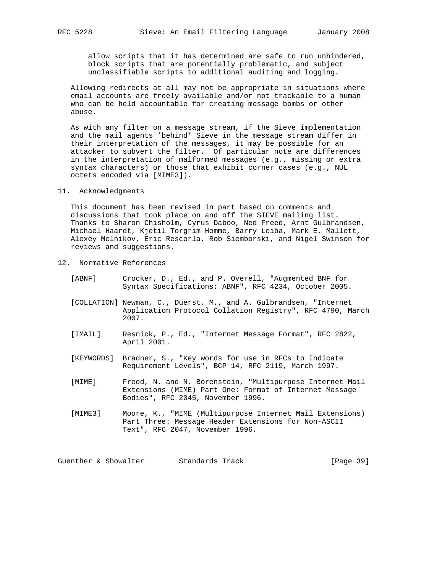allow scripts that it has determined are safe to run unhindered, block scripts that are potentially problematic, and subject unclassifiable scripts to additional auditing and logging.

 Allowing redirects at all may not be appropriate in situations where email accounts are freely available and/or not trackable to a human who can be held accountable for creating message bombs or other abuse.

 As with any filter on a message stream, if the Sieve implementation and the mail agents 'behind' Sieve in the message stream differ in their interpretation of the messages, it may be possible for an attacker to subvert the filter. Of particular note are differences in the interpretation of malformed messages (e.g., missing or extra syntax characters) or those that exhibit corner cases (e.g., NUL octets encoded via [MIME3]).

## 11. Acknowledgments

 This document has been revised in part based on comments and discussions that took place on and off the SIEVE mailing list. Thanks to Sharon Chisholm, Cyrus Daboo, Ned Freed, Arnt Gulbrandsen, Michael Haardt, Kjetil Torgrim Homme, Barry Leiba, Mark E. Mallett, Alexey Melnikov, Eric Rescorla, Rob Siemborski, and Nigel Swinson for reviews and suggestions.

- 12. Normative References
	- [ABNF] Crocker, D., Ed., and P. Overell, "Augmented BNF for Syntax Specifications: ABNF", RFC 4234, October 2005.
	- [COLLATION] Newman, C., Duerst, M., and A. Gulbrandsen, "Internet Application Protocol Collation Registry", RFC 4790, March 2007.
	- [IMAIL] Resnick, P., Ed., "Internet Message Format", RFC 2822, April 2001.
	- [KEYWORDS] Bradner, S., "Key words for use in RFCs to Indicate Requirement Levels", BCP 14, RFC 2119, March 1997.
	- [MIME] Freed, N. and N. Borenstein, "Multipurpose Internet Mail Extensions (MIME) Part One: Format of Internet Message Bodies", RFC 2045, November 1996.
	- [MIME3] Moore, K., "MIME (Multipurpose Internet Mail Extensions) Part Three: Message Header Extensions for Non-ASCII Text", RFC 2047, November 1996.

Guenther & Showalter Standards Track [Page 39]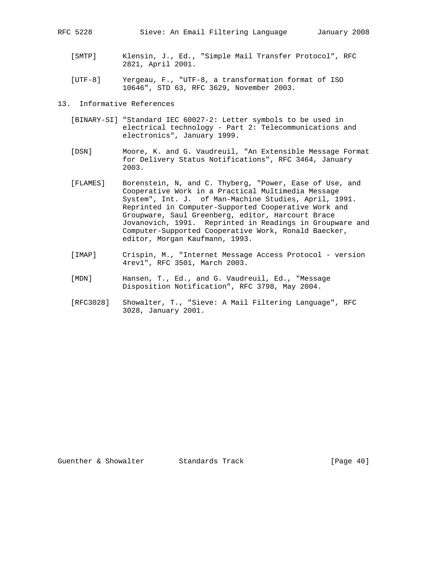- [SMTP] Klensin, J., Ed., "Simple Mail Transfer Protocol", RFC 2821, April 2001.
- [UTF-8] Yergeau, F., "UTF-8, a transformation format of ISO 10646", STD 63, RFC 3629, November 2003.
- 13. Informative References
	- [BINARY-SI] "Standard IEC 60027-2: Letter symbols to be used in electrical technology - Part 2: Telecommunications and electronics", January 1999.
	- [DSN] Moore, K. and G. Vaudreuil, "An Extensible Message Format for Delivery Status Notifications", RFC 3464, January 2003.
	- [FLAMES] Borenstein, N, and C. Thyberg, "Power, Ease of Use, and Cooperative Work in a Practical Multimedia Message System", Int. J. of Man-Machine Studies, April, 1991. Reprinted in Computer-Supported Cooperative Work and Groupware, Saul Greenberg, editor, Harcourt Brace Jovanovich, 1991. Reprinted in Readings in Groupware and Computer-Supported Cooperative Work, Ronald Baecker, editor, Morgan Kaufmann, 1993.
	- [IMAP] Crispin, M., "Internet Message Access Protocol version 4rev1", RFC 3501, March 2003.
	- [MDN] Hansen, T., Ed., and G. Vaudreuil, Ed., "Message Disposition Notification", RFC 3798, May 2004.
	- [RFC3028] Showalter, T., "Sieve: A Mail Filtering Language", RFC 3028, January 2001.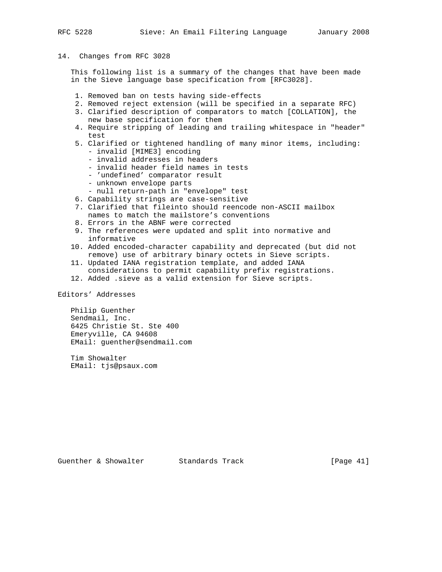## 14. Changes from RFC 3028

 This following list is a summary of the changes that have been made in the Sieve language base specification from [RFC3028].

- 1. Removed ban on tests having side-effects
- 2. Removed reject extension (will be specified in a separate RFC)
- 3. Clarified description of comparators to match [COLLATION], the new base specification for them
- 4. Require stripping of leading and trailing whitespace in "header" test
- 5. Clarified or tightened handling of many minor items, including: - invalid [MIME3] encoding
	- invalid addresses in headers
	- invalid header field names in tests
	- 'undefined' comparator result
	- unknown envelope parts
	- null return-path in "envelope" test
- 6. Capability strings are case-sensitive
- 7. Clarified that fileinto should reencode non-ASCII mailbox names to match the mailstore's conventions
- 8. Errors in the ABNF were corrected
- 9. The references were updated and split into normative and informative
- 10. Added encoded-character capability and deprecated (but did not remove) use of arbitrary binary octets in Sieve scripts.
- 11. Updated IANA registration template, and added IANA considerations to permit capability prefix registrations.
- 12. Added .sieve as a valid extension for Sieve scripts.

Editors' Addresses

 Philip Guenther Sendmail, Inc. 6425 Christie St. Ste 400 Emeryville, CA 94608 EMail: guenther@sendmail.com

 Tim Showalter EMail: tjs@psaux.com